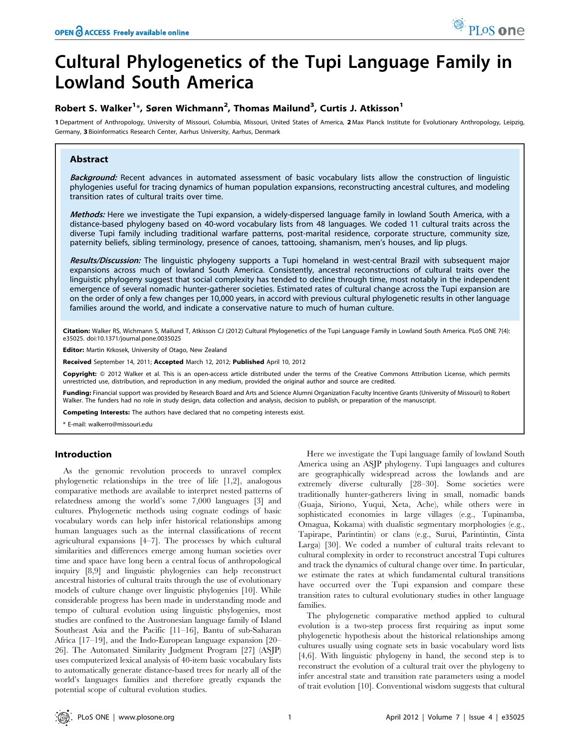# Cultural Phylogenetics of the Tupi Language Family in Lowland South America

# Robert S. Walker<sup>1</sup>\*, Søren Wichmann<sup>2</sup>, Thomas Mailund<sup>3</sup>, Curtis J. Atkisson<sup>1</sup>

1 Department of Anthropology, University of Missouri, Columbia, Missouri, United States of America, 2 Max Planck Institute for Evolutionary Anthropology, Leipzig, Germany, 3 Bioinformatics Research Center, Aarhus University, Aarhus, Denmark

# Abstract

**Background:** Recent advances in automated assessment of basic vocabulary lists allow the construction of linguistic phylogenies useful for tracing dynamics of human population expansions, reconstructing ancestral cultures, and modeling transition rates of cultural traits over time.

Methods: Here we investigate the Tupi expansion, a widely-dispersed language family in lowland South America, with a distance-based phylogeny based on 40-word vocabulary lists from 48 languages. We coded 11 cultural traits across the diverse Tupi family including traditional warfare patterns, post-marital residence, corporate structure, community size, paternity beliefs, sibling terminology, presence of canoes, tattooing, shamanism, men's houses, and lip plugs.

Results/Discussion: The linguistic phylogeny supports a Tupi homeland in west-central Brazil with subsequent major expansions across much of lowland South America. Consistently, ancestral reconstructions of cultural traits over the linguistic phylogeny suggest that social complexity has tended to decline through time, most notably in the independent emergence of several nomadic hunter-gatherer societies. Estimated rates of cultural change across the Tupi expansion are on the order of only a few changes per 10,000 years, in accord with previous cultural phylogenetic results in other language families around the world, and indicate a conservative nature to much of human culture.

Citation: Walker RS, Wichmann S, Mailund T, Atkisson CJ (2012) Cultural Phylogenetics of the Tupi Language Family in Lowland South America. PLoS ONE 7(4): e35025. doi:10.1371/journal.pone.0035025

Editor: Martin Krkosek, University of Otago, New Zealand

Received September 14, 2011; Accepted March 12, 2012; Published April 10, 2012

Copyright: © 2012 Walker et al. This is an open-access article distributed under the terms of the Creative Commons Attribution License, which permits unrestricted use, distribution, and reproduction in any medium, provided the original author and source are credited.

Funding: Financial support was provided by Research Board and Arts and Science Alumni Organization Faculty Incentive Grants (University of Missouri) to Robert Walker. The funders had no role in study design, data collection and analysis, decision to publish, or preparation of the manuscript.

Competing Interests: The authors have declared that no competing interests exist.

\* E-mail: walkerro@missouri.edu

# Introduction

As the genomic revolution proceeds to unravel complex phylogenetic relationships in the tree of life [1,2], analogous comparative methods are available to interpret nested patterns of relatedness among the world's some 7,000 languages [3] and cultures. Phylogenetic methods using cognate codings of basic vocabulary words can help infer historical relationships among human languages such as the internal classifications of recent agricultural expansions [4–7]. The processes by which cultural similarities and differences emerge among human societies over time and space have long been a central focus of anthropological inquiry [8,9] and linguistic phylogenies can help reconstruct ancestral histories of cultural traits through the use of evolutionary models of culture change over linguistic phylogenies [10]. While considerable progress has been made in understanding mode and tempo of cultural evolution using linguistic phylogenies, most studies are confined to the Austronesian language family of Island Southeast Asia and the Pacific [11–16], Bantu of sub-Saharan Africa [17–19], and the Indo-European language expansion [20– 26]. The Automated Similarity Judgment Program [27] (ASJP) uses computerized lexical analysis of 40-item basic vocabulary lists to automatically generate distance-based trees for nearly all of the world's languages families and therefore greatly expands the potential scope of cultural evolution studies.

Here we investigate the Tupi language family of lowland South America using an ASJP phylogeny. Tupi languages and cultures are geographically widespread across the lowlands and are extremely diverse culturally [28–30]. Some societies were traditionally hunter-gatherers living in small, nomadic bands (Guaja, Siriono, Yuqui, Xeta, Ache), while others were in sophisticated economies in large villages (e.g., Tupinamba, Omagua, Kokama) with dualistic segmentary morphologies (e.g., Tapirape, Parintintin) or clans (e.g., Surui, Parintintin, Cinta Larga) [30]. We coded a number of cultural traits relevant to cultural complexity in order to reconstruct ancestral Tupi cultures and track the dynamics of cultural change over time. In particular, we estimate the rates at which fundamental cultural transitions have occurred over the Tupi expansion and compare these transition rates to cultural evolutionary studies in other language families.

The phylogenetic comparative method applied to cultural evolution is a two-step process first requiring as input some phylogenetic hypothesis about the historical relationships among cultures usually using cognate sets in basic vocabulary word lists [4,6]. With linguistic phylogeny in hand, the second step is to reconstruct the evolution of a cultural trait over the phylogeny to infer ancestral state and transition rate parameters using a model of trait evolution [10]. Conventional wisdom suggests that cultural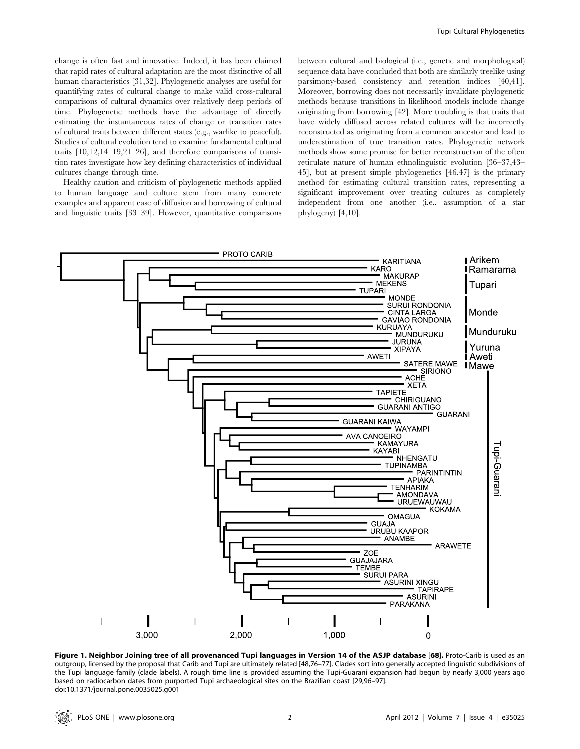change is often fast and innovative. Indeed, it has been claimed that rapid rates of cultural adaptation are the most distinctive of all human characteristics [31,32]. Phylogenetic analyses are useful for quantifying rates of cultural change to make valid cross-cultural comparisons of cultural dynamics over relatively deep periods of time. Phylogenetic methods have the advantage of directly estimating the instantaneous rates of change or transition rates of cultural traits between different states (e.g., warlike to peaceful). Studies of cultural evolution tend to examine fundamental cultural traits [10,12,14–19,21–26], and therefore comparisons of transition rates investigate how key defining characteristics of individual cultures change through time.

Healthy caution and criticism of phylogenetic methods applied to human language and culture stem from many concrete examples and apparent ease of diffusion and borrowing of cultural and linguistic traits [33–39]. However, quantitative comparisons between cultural and biological (i.e., genetic and morphological) sequence data have concluded that both are similarly treelike using parsimony-based consistency and retention indices [40,41]. Moreover, borrowing does not necessarily invalidate phylogenetic methods because transitions in likelihood models include change originating from borrowing [42]. More troubling is that traits that have widely diffused across related cultures will be incorrectly reconstructed as originating from a common ancestor and lead to underestimation of true transition rates. Phylogenetic network methods show some promise for better reconstruction of the often reticulate nature of human ethnolinguistic evolution [36–37,43– 45], but at present simple phylogenetics [46,47] is the primary method for estimating cultural transition rates, representing a significant improvement over treating cultures as completely independent from one another (i.e., assumption of a star phylogeny) [4,10].



Figure 1. Neighbor Joining tree of all provenanced Tupi languages in Version 14 of the ASJP database [68]. Proto-Carib is used as an outgroup, licensed by the proposal that Carib and Tupi are ultimately related [48,76–77]. Clades sort into generally accepted linguistic subdivisions of the Tupi language family (clade labels). A rough time line is provided assuming the Tupi-Guarani expansion had begun by nearly 3,000 years ago based on radiocarbon dates from purported Tupi archaeological sites on the Brazilian coast [29,96–97]. doi:10.1371/journal.pone.0035025.g001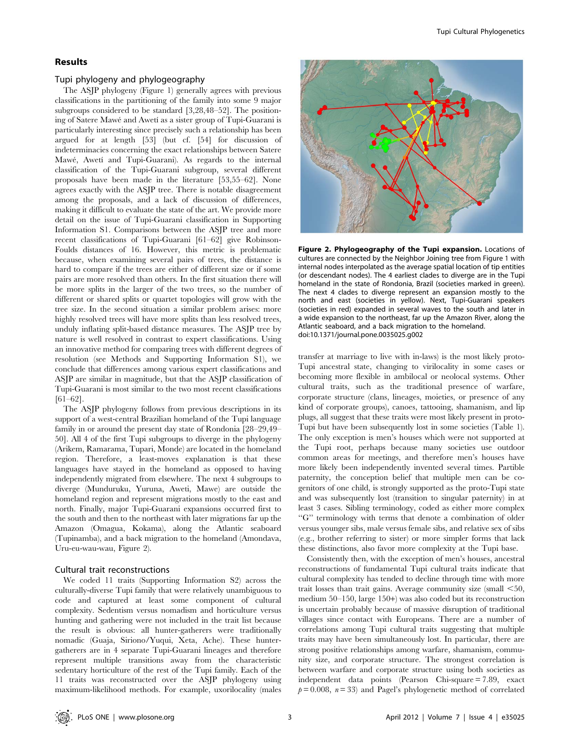## Results

#### Tupi phylogeny and phylogeography

The ASJP phylogeny (Figure 1) generally agrees with previous classifications in the partitioning of the family into some 9 major subgroups considered to be standard [3,28,48–52]. The positioning of Satere Mawé and Awetí as a sister group of Tupi-Guarani is particularly interesting since precisely such a relationship has been argued for at length [53] (but cf. [54] for discussion of indeterminacies concerning the exact relationships between Satere Mawé, Awetí and Tupi-Guarani). As regards to the internal classification of the Tupi-Guarani subgroup, several different proposals have been made in the literature [53,55–62]. None agrees exactly with the ASJP tree. There is notable disagreement among the proposals, and a lack of discussion of differences, making it difficult to evaluate the state of the art. We provide more detail on the issue of Tupi-Guarani classification in Supporting Information S1. Comparisons between the ASJP tree and more recent classifications of Tupi-Guarani [61–62] give Robinson-Foulds distances of 16. However, this metric is problematic because, when examining several pairs of trees, the distance is hard to compare if the trees are either of different size or if some pairs are more resolved than others. In the first situation there will be more splits in the larger of the two trees, so the number of different or shared splits or quartet topologies will grow with the tree size. In the second situation a similar problem arises: more highly resolved trees will have more splits than less resolved trees, unduly inflating split-based distance measures. The ASJP tree by nature is well resolved in contrast to expert classifications. Using an innovative method for comparing trees with different degrees of resolution (see Methods and Supporting Information S1), we conclude that differences among various expert classifications and ASJP are similar in magnitude, but that the ASJP classification of Tupi-Guarani is most similar to the two most recent classifications [61–62].

The ASJP phylogeny follows from previous descriptions in its support of a west-central Brazilian homeland of the Tupi language family in or around the present day state of Rondonia [28–29,49– 50]. All 4 of the first Tupi subgroups to diverge in the phylogeny (Arikem, Ramarama, Tupari, Monde) are located in the homeland region. Therefore, a least-moves explanation is that these languages have stayed in the homeland as opposed to having independently migrated from elsewhere. The next 4 subgroups to diverge (Munduruku, Yuruna, Aweti, Mawe) are outside the homeland region and represent migrations mostly to the east and north. Finally, major Tupi-Guarani expansions occurred first to the south and then to the northeast with later migrations far up the Amazon (Omagua, Kokama), along the Atlantic seaboard (Tupinamba), and a back migration to the homeland (Amondava, Uru-eu-wau-wau, Figure 2).

# Cultural trait reconstructions

We coded 11 traits (Supporting Information S2) across the culturally-diverse Tupi family that were relatively unambiguous to code and captured at least some component of cultural complexity. Sedentism versus nomadism and horticulture versus hunting and gathering were not included in the trait list because the result is obvious: all hunter-gatherers were traditionally nomadic (Guaja, Siriono/Yuqui, Xeta, Ache). These huntergatherers are in 4 separate Tupi-Guarani lineages and therefore represent multiple transitions away from the characteristic sedentary horticulture of the rest of the Tupi family. Each of the 11 traits was reconstructed over the ASJP phylogeny using maximum-likelihood methods. For example, uxorilocality (males



Figure 2. Phylogeography of the Tupi expansion. Locations of cultures are connected by the Neighbor Joining tree from Figure 1 with internal nodes interpolated as the average spatial location of tip entities (or descendant nodes). The 4 earliest clades to diverge are in the Tupi homeland in the state of Rondonia, Brazil (societies marked in green). The next 4 clades to diverge represent an expansion mostly to the north and east (societies in yellow). Next, Tupi-Guarani speakers (societies in red) expanded in several waves to the south and later in a wide expansion to the northeast, far up the Amazon River, along the Atlantic seaboard, and a back migration to the homeland. doi:10.1371/journal.pone.0035025.g002

transfer at marriage to live with in-laws) is the most likely proto-Tupi ancestral state, changing to virilocality in some cases or becoming more flexible in ambilocal or neolocal systems. Other cultural traits, such as the traditional presence of warfare, corporate structure (clans, lineages, moieties, or presence of any kind of corporate groups), canoes, tattooing, shamanism, and lip plugs, all suggest that these traits were most likely present in proto-Tupi but have been subsequently lost in some societies (Table 1). The only exception is men's houses which were not supported at the Tupi root, perhaps because many societies use outdoor common areas for meetings, and therefore men's houses have more likely been independently invented several times. Partible paternity, the conception belief that multiple men can be cogenitors of one child, is strongly supported as the proto-Tupi state and was subsequently lost (transition to singular paternity) in at least 3 cases. Sibling terminology, coded as either more complex ''G'' terminology with terms that denote a combination of older versus younger sibs, male versus female sibs, and relative sex of sibs (e.g., brother referring to sister) or more simpler forms that lack these distinctions, also favor more complexity at the Tupi base.

Consistently then, with the exception of men's houses, ancestral reconstructions of fundamental Tupi cultural traits indicate that cultural complexity has tended to decline through time with more trait losses than trait gains. Average community size (small  $\leq 50$ , medium 50–150, large 150+) was also coded but its reconstruction is uncertain probably because of massive disruption of traditional villages since contact with Europeans. There are a number of correlations among Tupi cultural traits suggesting that multiple traits may have been simultaneously lost. In particular, there are strong positive relationships among warfare, shamanism, community size, and corporate structure. The strongest correlation is between warfare and corporate structure using both societies as independent data points (Pearson Chi-square = 7.89, exact  $p= 0.008$ ,  $n = 33$ ) and Pagel's phylogenetic method of correlated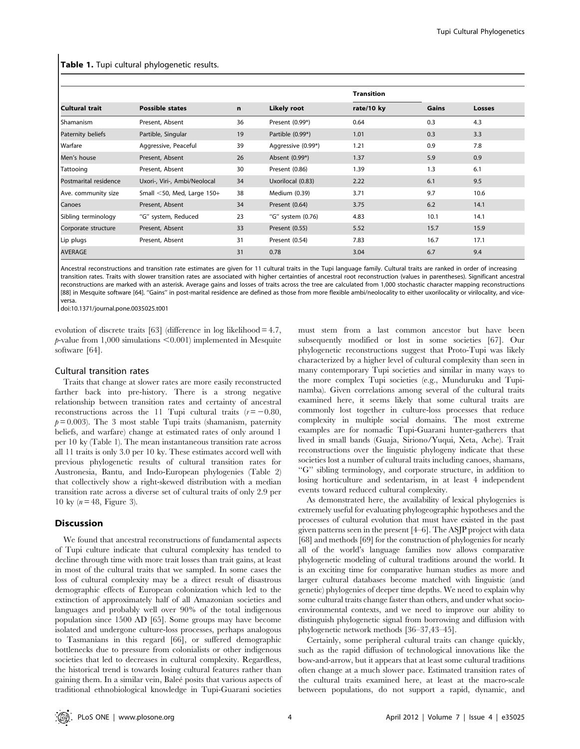Table 1. Tupi cultural phylogenetic results.

|                       |                              |    |                    | <b>Transition</b> |       |        |
|-----------------------|------------------------------|----|--------------------|-------------------|-------|--------|
| <b>Cultural trait</b> | <b>Possible states</b>       | n  | <b>Likely root</b> | rate/10 ky        | Gains | Losses |
| Shamanism             | Present, Absent              | 36 | Present (0.99*)    | 0.64              | 0.3   | 4.3    |
| Paternity beliefs     | Partible, Singular           | 19 | Partible (0.99*)   | 1.01              | 0.3   | 3.3    |
| Warfare               | Aggressive, Peaceful         | 39 | Aggressive (0.99*) | 1.21              | 0.9   | 7.8    |
| Men's house           | Present, Absent              | 26 | Absent (0.99*)     | 1.37              | 5.9   | 0.9    |
| Tattooing             | Present, Absent              | 30 | Present (0.86)     | 1.39              | 1.3   | 6.1    |
| Postmarital residence | Uxori-, Viri-, Ambi/Neolocal | 34 | Uxorilocal (0.83)  | 2.22              | 6.1   | 9.5    |
| Ave. community size   | Small <50, Med, Large 150+   | 38 | Medium (0.39)      | 3.71              | 9.7   | 10.6   |
| Canoes                | Present, Absent              | 34 | Present (0.64)     | 3.75              | 6.2   | 14.1   |
| Sibling terminology   | "G" system, Reduced          | 23 | "G" system (0.76)  | 4.83              | 10.1  | 14.1   |
| Corporate structure   | Present, Absent              | 33 | Present (0.55)     | 5.52              | 15.7  | 15.9   |
| Lip plugs             | Present, Absent              | 31 | Present (0.54)     | 7.83              | 16.7  | 17.1   |
| <b>AVERAGE</b>        |                              | 31 | 0.78               | 3.04              | 6.7   | 9.4    |

Ancestral reconstructions and transition rate estimates are given for 11 cultural traits in the Tupi language family. Cultural traits are ranked in order of increasing transition rates. Traits with slower transition rates are associated with higher certainties of ancestral root reconstruction (values in parentheses). Significant ancestral reconstructions are marked with an asterisk. Average gains and losses of traits across the tree are calculated from 1,000 stochastic character mapping reconstructions [88] in Mesquite software [64]. ''Gains'' in post-marital residence are defined as those from more flexible ambi/neolocality to either uxorilocality or virilocality, and viceversa.

doi:10.1371/journal.pone.0035025.t001

evolution of discrete traits [63] (difference in log likelihood = 4.7,  $p$ -value from 1,000 simulations  $\leq$ 0.001) implemented in Mesquite software [64].

#### Cultural transition rates

Traits that change at slower rates are more easily reconstructed farther back into pre-history. There is a strong negative relationship between transition rates and certainty of ancestral reconstructions across the 11 Tupi cultural traits  $(r = -0.80,$  $p = 0.003$ ). The 3 most stable Tupi traits (shamanism, paternity beliefs, and warfare) change at estimated rates of only around 1 per 10 ky (Table 1). The mean instantaneous transition rate across all 11 traits is only 3.0 per 10 ky. These estimates accord well with previous phylogenetic results of cultural transition rates for Austronesia, Bantu, and Indo-European phylogenies (Table 2) that collectively show a right-skewed distribution with a median transition rate across a diverse set of cultural traits of only 2.9 per 10 ky ( $n = 48$ , Figure 3).

#### Discussion

We found that ancestral reconstructions of fundamental aspects of Tupi culture indicate that cultural complexity has tended to decline through time with more trait losses than trait gains, at least in most of the cultural traits that we sampled. In some cases the loss of cultural complexity may be a direct result of disastrous demographic effects of European colonization which led to the extinction of approximately half of all Amazonian societies and languages and probably well over 90% of the total indigenous population since 1500 AD [65]. Some groups may have become isolated and undergone culture-loss processes, perhaps analogous to Tasmanians in this regard [66], or suffered demographic bottlenecks due to pressure from colonialists or other indigenous societies that led to decreases in cultural complexity. Regardless, the historical trend is towards losing cultural features rather than gaining them. In a similar vein, Balee<sup>\*</sup> posits that various aspects of traditional ethnobiological knowledge in Tupi-Guarani societies

must stem from a last common ancestor but have been subsequently modified or lost in some societies [67]. Our phylogenetic reconstructions suggest that Proto-Tupi was likely characterized by a higher level of cultural complexity than seen in many contemporary Tupi societies and similar in many ways to the more complex Tupi societies (e.g., Munduruku and Tupinamba). Given correlations among several of the cultural traits examined here, it seems likely that some cultural traits are commonly lost together in culture-loss processes that reduce complexity in multiple social domains. The most extreme examples are for nomadic Tupi-Guarani hunter-gatherers that lived in small bands (Guaja, Siriono/Yuqui, Xeta, Ache). Trait reconstructions over the linguistic phylogeny indicate that these societies lost a number of cultural traits including canoes, shamans, ''G'' sibling terminology, and corporate structure, in addition to losing horticulture and sedentarism, in at least 4 independent events toward reduced cultural complexity.

As demonstrated here, the availability of lexical phylogenies is extremely useful for evaluating phylogeographic hypotheses and the processes of cultural evolution that must have existed in the past given patterns seen in the present [4–6]. The ASJP project with data [68] and methods [69] for the construction of phylogenies for nearly all of the world's language families now allows comparative phylogenetic modeling of cultural traditions around the world. It is an exciting time for comparative human studies as more and larger cultural databases become matched with linguistic (and genetic) phylogenies of deeper time depths. We need to explain why some cultural traits change faster than others, and under what socioenvironmental contexts, and we need to improve our ability to distinguish phylogenetic signal from borrowing and diffusion with phylogenetic network methods [36–37,43–45].

Certainly, some peripheral cultural traits can change quickly, such as the rapid diffusion of technological innovations like the bow-and-arrow, but it appears that at least some cultural traditions often change at a much slower pace. Estimated transition rates of the cultural traits examined here, at least at the macro-scale between populations, do not support a rapid, dynamic, and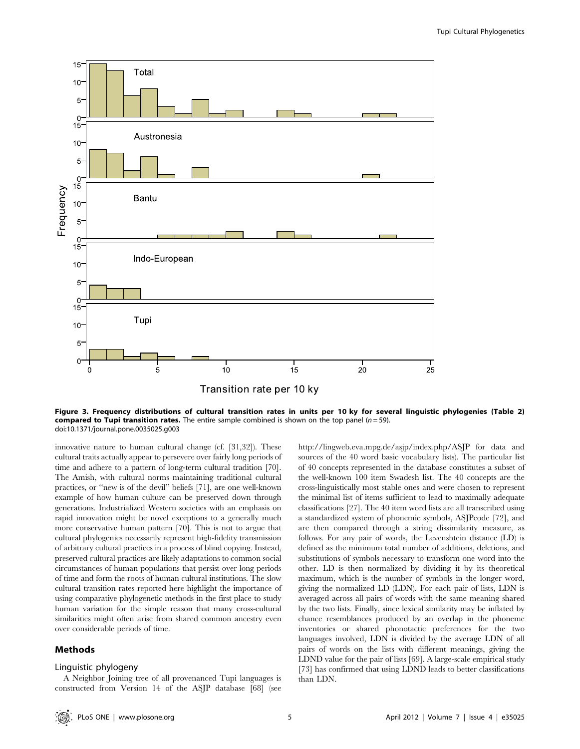

Transition rate per 10 ky

Figure 3. Frequency distributions of cultural transition rates in units per 10 ky for several linguistic phylogenies (Table 2) **compared to Tupi transition rates.** The entire sample combined is shown on the top panel  $(n = 59)$ . doi:10.1371/journal.pone.0035025.g003

innovative nature to human cultural change (cf. [31,32]). These cultural traits actually appear to persevere over fairly long periods of time and adhere to a pattern of long-term cultural tradition [70]. The Amish, with cultural norms maintaining traditional cultural practices, or ''new is of the devil'' beliefs [71], are one well-known example of how human culture can be preserved down through generations. Industrialized Western societies with an emphasis on rapid innovation might be novel exceptions to a generally much more conservative human pattern [70]. This is not to argue that cultural phylogenies necessarily represent high-fidelity transmission of arbitrary cultural practices in a process of blind copying. Instead, preserved cultural practices are likely adaptations to common social circumstances of human populations that persist over long periods of time and form the roots of human cultural institutions. The slow cultural transition rates reported here highlight the importance of using comparative phylogenetic methods in the first place to study human variation for the simple reason that many cross-cultural similarities might often arise from shared common ancestry even over considerable periods of time.

# Methods

#### Linguistic phylogeny

A Neighbor Joining tree of all provenanced Tupi languages is constructed from Version 14 of the ASJP database [68] (see

http://lingweb.eva.mpg.de/asjp/index.php/ASJP for data and sources of the 40 word basic vocabulary lists). The particular list of 40 concepts represented in the database constitutes a subset of the well-known 100 item Swadesh list. The 40 concepts are the cross-linguistically most stable ones and were chosen to represent the minimal list of items sufficient to lead to maximally adequate classifications [27]. The 40 item word lists are all transcribed using a standardized system of phonemic symbols, ASJPcode [72], and are then compared through a string dissimilarity measure, as follows. For any pair of words, the Levenshtein distance (LD) is defined as the minimum total number of additions, deletions, and substitutions of symbols necessary to transform one word into the other. LD is then normalized by dividing it by its theoretical maximum, which is the number of symbols in the longer word, giving the normalized LD (LDN). For each pair of lists, LDN is averaged across all pairs of words with the same meaning shared by the two lists. Finally, since lexical similarity may be inflated by chance resemblances produced by an overlap in the phoneme inventories or shared phonotactic preferences for the two languages involved, LDN is divided by the average LDN of all pairs of words on the lists with different meanings, giving the LDND value for the pair of lists [69]. A large-scale empirical study [73] has confirmed that using LDND leads to better classifications than LDN.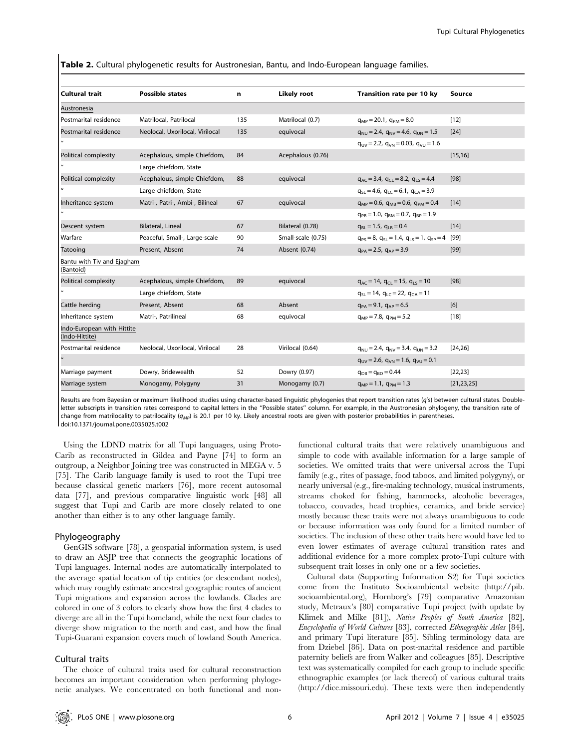Table 2. Cultural phylogenetic results for Austronesian, Bantu, and Indo-European language families.

| Cultural trait                               | <b>Possible states</b>          | n   | <b>Likely root</b> | Transition rate per 10 ky                                   | Source       |
|----------------------------------------------|---------------------------------|-----|--------------------|-------------------------------------------------------------|--------------|
| Austronesia                                  |                                 |     |                    |                                                             |              |
| Postmarital residence                        | Matrilocal, Patrilocal          | 135 | Matrilocal (0.7)   | $q_{MP} = 20.1$ , $q_{PM} = 8.0$                            | $[12]$       |
| Postmarital residence                        | Neolocal, Uxorilocal, Virilocal | 135 | equivocal          | $q_{NU}$ = 2.4, $q_{NV}$ = 4.6, $q_{UN}$ = 1.5              | $[24]$       |
|                                              |                                 |     |                    | $q_{UV} = 2.2$ , $q_{VN} = 0.03$ , $q_{VU} = 1.6$           |              |
| Political complexity                         | Acephalous, simple Chiefdom,    | 84  | Acephalous (0.76)  |                                                             | [15, 16]     |
|                                              | Large chiefdom, State           |     |                    |                                                             |              |
| Political complexity                         | Acephalous, simple Chiefdom,    | 88  | equivocal          | $q_{AC}$ = 3.4, $q_{C1}$ = 8.2, $q_{15}$ = 4.4              | [98]         |
|                                              | Large chiefdom, State           |     |                    | $q_{SI} = 4.6$ , $q_{I C} = 6.1$ , $q_{C A} = 3.9$          |              |
| Inheritance system                           | Matri-, Patri-, Ambi-, Bilineal | 67  | equivocal          | $q_{MP} = 0.6$ , $q_{MB} = 0.6$ , $q_{PM} = 0.4$            | $[14]$       |
|                                              |                                 |     |                    | $q_{PB} = 1.0$ , $q_{BM} = 0.7$ , $q_{BP} = 1.9$            |              |
| Descent system                               | Bilateral, Lineal               | 67  | Bilateral (0.78)   | $q_{\text{BI}} = 1.5$ , $q_{\text{IB}} = 0.4$               | $[14]$       |
| l Warfare                                    | Peaceful, Small-, Large-scale   | 90  | Small-scale (0.75) | $q_{PS} = 8$ , $q_{SI} = 1.4$ , $q_{IS} = 1$ , $q_{SP} = 4$ | [99]         |
| Tatooing                                     | Present, Absent                 | 74  | Absent (0.74)      | $q_{PA} = 2.5$ , $q_{AP} = 3.9$                             | [99]         |
| Bantu with Tiv and Ejagham<br>(Bantoid)      |                                 |     |                    |                                                             |              |
| Political complexity                         | Acephalous, simple Chiefdom,    | 89  | equivocal          | $q_{AC}$ = 14, $q_{CL}$ = 15, $q_{LS}$ = 10                 | $[98]$       |
|                                              | Large chiefdom, State           |     |                    | $q_{SI} = 14$ , $q_{I} = 22$ , $q_{CA} = 11$                |              |
| Cattle herding                               | Present, Absent                 | 68  | Absent             | $q_{PA} = 9.1$ , $q_{AP} = 6.5$                             | [6]          |
| Inheritance system                           | Matri-, Patrilineal             | 68  | equivocal          | $q_{MP} = 7.8$ , $q_{PM} = 5.2$                             | $[18]$       |
| Indo-European with Hittite<br>(Indo-Hittite) |                                 |     |                    |                                                             |              |
| Postmarital residence                        | Neolocal, Uxorilocal, Virilocal | 28  | Virilocal (0.64)   | $q_{NU}$ = 2.4, $q_{NV}$ = 3.4, $q_{UN}$ = 3.2              | [24, 26]     |
|                                              |                                 |     |                    | $q_{UV} = 2.6$ , $q_{VN} = 1.6$ , $q_{VU} = 0.1$            |              |
| Marriage payment                             | Dowry, Bridewealth              | 52  | Dowry (0.97)       | $q_{DB} = q_{BD} = 0.44$                                    | [22, 23]     |
| Marriage system                              | Monogamy, Polygyny              | 31  | Monogamy (0.7)     | $q_{MP} = 1.1$ , $q_{PM} = 1.3$                             | [21, 23, 25] |

Results are from Bayesian or maximum likelihood studies using character-based linguistic phylogenies that report transition rates (q's) between cultural states. Doubleletter subscripts in transition rates correspond to capital letters in the ''Possible states'' column. For example, in the Austronesian phylogeny, the transition rate of change from matrilocality to patrilocality ( $q_{MP}$ ) is 20.1 per 10 ky. Likely ancestral roots are given with posterior probabilities in parentheses. doi:10.1371/journal.pone.0035025.t002

Using the LDND matrix for all Tupi languages, using Proto-Carib as reconstructed in Gildea and Payne [74] to form an outgroup, a Neighbor Joining tree was constructed in MEGA v. 5 [75]. The Carib language family is used to root the Tupi tree because classical genetic markers [76], more recent autosomal data [77], and previous comparative linguistic work [48] all suggest that Tupi and Carib are more closely related to one another than either is to any other language family.

#### Phylogeography

GenGIS software [78], a geospatial information system, is used to draw an ASJP tree that connects the geographic locations of Tupi languages. Internal nodes are automatically interpolated to the average spatial location of tip entities (or descendant nodes), which may roughly estimate ancestral geographic routes of ancient Tupi migrations and expansion across the lowlands. Clades are colored in one of 3 colors to clearly show how the first 4 clades to diverge are all in the Tupi homeland, while the next four clades to diverge show migration to the north and east, and how the final Tupi-Guarani expansion covers much of lowland South America.

#### Cultural traits

The choice of cultural traits used for cultural reconstruction becomes an important consideration when performing phylogenetic analyses. We concentrated on both functional and nonfunctional cultural traits that were relatively unambiguous and simple to code with available information for a large sample of societies. We omitted traits that were universal across the Tupi family (e.g., rites of passage, food taboos, and limited polygyny), or nearly universal (e.g., fire-making technology, musical instruments, streams choked for fishing, hammocks, alcoholic beverages, tobacco, couvades, head trophies, ceramics, and bride service) mostly because these traits were not always unambiguous to code or because information was only found for a limited number of societies. The inclusion of these other traits here would have led to even lower estimates of average cultural transition rates and additional evidence for a more complex proto-Tupi culture with subsequent trait losses in only one or a few societies.

Cultural data (Supporting Information S2) for Tupi societies come from the Instituto Socioambiental website (http://pib. socioambiental.org), Hornborg's [79] comparative Amazonian study, Metraux's [80] comparative Tupi project (with update by Klimek and Milke [81]), Native Peoples of South America [82], Encyclopedia of World Cultures [83], corrected Ethnographic Atlas [84], and primary Tupi literature [85]. Sibling terminology data are from Dziebel [86]. Data on post-marital residence and partible paternity beliefs are from Walker and colleagues [85]. Descriptive text was systematically compiled for each group to include specific ethnographic examples (or lack thereof) of various cultural traits (http://dice.missouri.edu). These texts were then independently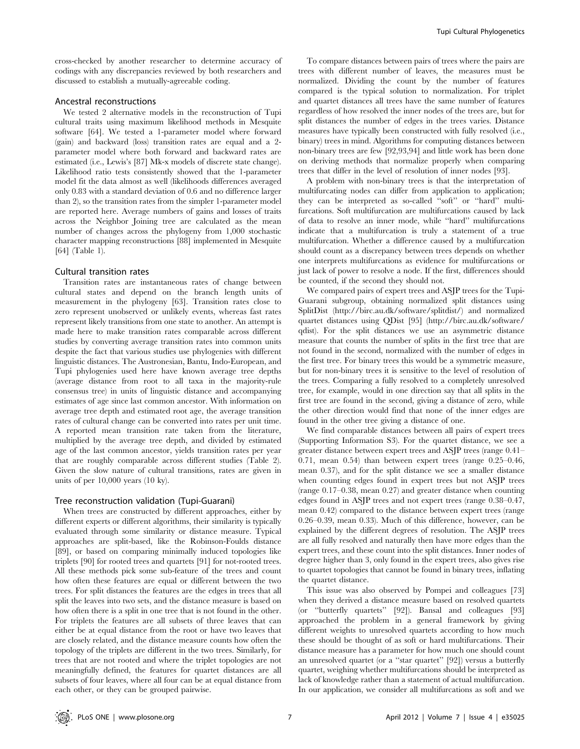cross-checked by another researcher to determine accuracy of codings with any discrepancies reviewed by both researchers and discussed to establish a mutually-agreeable coding.

## Ancestral reconstructions

We tested 2 alternative models in the reconstruction of Tupi cultural traits using maximum likelihood methods in Mesquite software [64]. We tested a 1-parameter model where forward (gain) and backward (loss) transition rates are equal and a 2 parameter model where both forward and backward rates are estimated (i.e., Lewis's [87] Mk-x models of discrete state change). Likelihood ratio tests consistently showed that the 1-parameter model fit the data almost as well (likelihoods differences averaged only 0.83 with a standard deviation of 0.6 and no difference larger than 2), so the transition rates from the simpler 1-parameter model are reported here. Average numbers of gains and losses of traits across the Neighbor Joining tree are calculated as the mean number of changes across the phylogeny from 1,000 stochastic character mapping reconstructions [88] implemented in Mesquite [64] (Table 1).

#### Cultural transition rates

Transition rates are instantaneous rates of change between cultural states and depend on the branch length units of measurement in the phylogeny [63]. Transition rates close to zero represent unobserved or unlikely events, whereas fast rates represent likely transitions from one state to another. An attempt is made here to make transition rates comparable across different studies by converting average transition rates into common units despite the fact that various studies use phylogenies with different linguistic distances. The Austronesian, Bantu, Indo-European, and Tupi phylogenies used here have known average tree depths (average distance from root to all taxa in the majority-rule consensus tree) in units of linguistic distance and accompanying estimates of age since last common ancestor. With information on average tree depth and estimated root age, the average transition rates of cultural change can be converted into rates per unit time. A reported mean transition rate taken from the literature, multiplied by the average tree depth, and divided by estimated age of the last common ancestor, yields transition rates per year that are roughly comparable across different studies (Table 2). Given the slow nature of cultural transitions, rates are given in units of per 10,000 years (10 ky).

#### Tree reconstruction validation (Tupi-Guarani)

When trees are constructed by different approaches, either by different experts or different algorithms, their similarity is typically evaluated through some similarity or distance measure. Typical approaches are split-based, like the Robinson-Foulds distance [89], or based on comparing minimally induced topologies like triplets [90] for rooted trees and quartets [91] for not-rooted trees. All these methods pick some sub-feature of the trees and count how often these features are equal or different between the two trees. For split distances the features are the edges in trees that all split the leaves into two sets, and the distance measure is based on how often there is a split in one tree that is not found in the other. For triplets the features are all subsets of three leaves that can either be at equal distance from the root or have two leaves that are closely related, and the distance measure counts how often the topology of the triplets are different in the two trees. Similarly, for trees that are not rooted and where the triplet topologies are not meaningfully defined, the features for quartet distances are all subsets of four leaves, where all four can be at equal distance from each other, or they can be grouped pairwise.

To compare distances between pairs of trees where the pairs are trees with different number of leaves, the measures must be normalized. Dividing the count by the number of features compared is the typical solution to normalization. For triplet and quartet distances all trees have the same number of features regardless of how resolved the inner nodes of the trees are, but for split distances the number of edges in the trees varies. Distance measures have typically been constructed with fully resolved (i.e., binary) trees in mind. Algorithms for computing distances between non-binary trees are few [92,93,94] and little work has been done on deriving methods that normalize properly when comparing trees that differ in the level of resolution of inner nodes [93].

A problem with non-binary trees is that the interpretation of multifurcating nodes can differ from application to application; they can be interpreted as so-called ''soft'' or ''hard'' multifurcations. Soft multifurcation are multifurcations caused by lack of data to resolve an inner mode, while ''hard'' multifurcations indicate that a multifurcation is truly a statement of a true multifurcation. Whether a difference caused by a multifurcation should count as a discrepancy between trees depends on whether one interprets multifurcations as evidence for multifurcations or just lack of power to resolve a node. If the first, differences should be counted, if the second they should not.

We compared pairs of expert trees and ASJP trees for the Tupi-Guarani subgroup, obtaining normalized split distances using SplitDist (http://birc.au.dk/software/splitdist/) and normalized quartet distances using QDist [95] (http://birc.au.dk/software/ qdist). For the split distances we use an asymmetric distance measure that counts the number of splits in the first tree that are not found in the second, normalized with the number of edges in the first tree. For binary trees this would be a symmetric measure, but for non-binary trees it is sensitive to the level of resolution of the trees. Comparing a fully resolved to a completely unresolved tree, for example, would in one direction say that all splits in the first tree are found in the second, giving a distance of zero, while the other direction would find that none of the inner edges are found in the other tree giving a distance of one.

We find comparable distances between all pairs of expert trees (Supporting Information S3). For the quartet distance, we see a greater distance between expert trees and ASJP trees (range 0.41– 0.71, mean 0.54) than between expert trees (range 0.25–0.46, mean 0.37), and for the split distance we see a smaller distance when counting edges found in expert trees but not ASJP trees (range 0.17–0.38, mean 0.27) and greater distance when counting edges found in ASJP trees and not expert trees (range 0.38–0.47, mean 0.42) compared to the distance between expert trees (range 0.26–0.39, mean 0.33). Much of this difference, however, can be explained by the different degrees of resolution. The ASJP trees are all fully resolved and naturally then have more edges than the expert trees, and these count into the split distances. Inner nodes of degree higher than 3, only found in the expert trees, also gives rise to quartet topologies that cannot be found in binary trees, inflating the quartet distance.

This issue was also observed by Pompei and colleagues [73] when they derived a distance measure based on resolved quartets (or ''butterfly quartets'' [92]). Bansal and colleagues [93] approached the problem in a general framework by giving different weights to unresolved quartets according to how much these should be thought of as soft or hard multifurcations. Their distance measure has a parameter for how much one should count an unresolved quartet (or a ''star quartet'' [92]) versus a butterfly quartet, weighing whether multifurcations should be interpreted as lack of knowledge rather than a statement of actual multifurcation. In our application, we consider all multifurcations as soft and we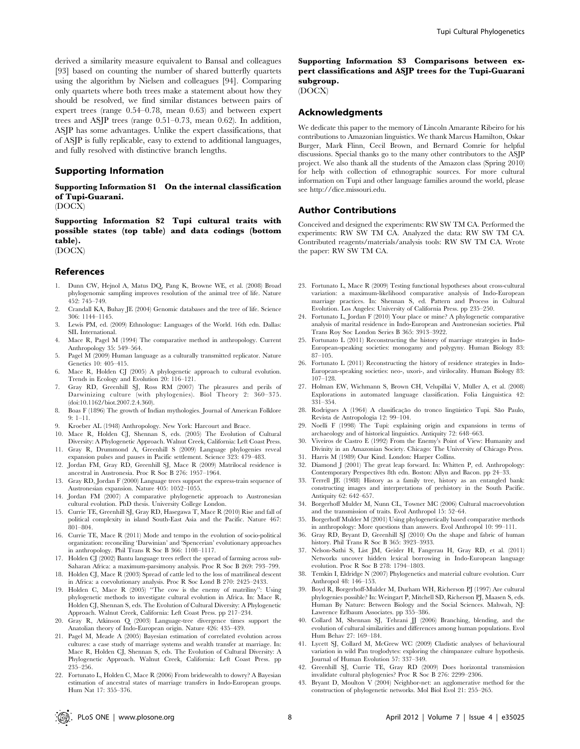derived a similarity measure equivalent to Bansal and colleagues [93] based on counting the number of shared butterfly quartets using the algorithm by Nielsen and colleagues [94]. Comparing only quartets where both trees make a statement about how they should be resolved, we find similar distances between pairs of expert trees (range 0.54–0.78, mean 0.63) and between expert trees and ASJP trees (range 0.51–0.73, mean 0.62). In addition, ASJP has some advantages. Unlike the expert classifications, that of ASJP is fully replicable, easy to extend to additional languages, and fully resolved with distinctive branch lengths.

#### Supporting Information

Supporting Information S1 On the internal classification of Tupi-Guarani.

(DOCX)

Supporting Information S2 Tupi cultural traits with possible states (top table) and data codings (bottom table).

(DOCX)

## References

- 1. Dunn CW, Hejnol A, Matus DQ, Pang K, Browne WE, et al. (2008) Broad phylogenomic sampling improves resolution of the animal tree of life. Nature 452: 745–749.
- 2. Crandall KA, Buhay JE (2004) Genomic databases and the tree of life. Science 306: 1144–1145.
- 3. Lewis PM, ed. (2009) Ethnologue: Languages of the World. 16th edn. Dallas: SIL International.
- 4. Mace R, Pagel M (1994) The comparative method in anthropology. Current Anthropology 35: 549–564.
- 5. Pagel M (2009) Human language as a culturally transmitted replicator. Nature Genetics 10: 405–415.
- 6. Mace R, Holden CJ (2005) A phylogenetic approach to cultural evolution. Trends in Ecology and Evolution 20: 116–121.
- 7. Gray RD, Greenhill SJ, Ross RM (2007) The pleasures and perils of Darwinizing culture (with phylogenies). Biol Theory 2: 360–375. (doi:10.1162/biot.2007.2.4.360).
- 8. Boas F (1896) The growth of Indian mythologies. Journal of American Folklore  $9: 1-11$ .
- 9. Kroeber AL (1948) Anthropology. New York: Harcourt and Brace.
- 10. Mace R, Holden CJ, Shennan S, eds. (2005) The Evolution of Cultural Diversity: A Phylogenetic Approach. Walnut Creek, California: Left Coast Press.
- 11. Gray R, Drummond A, Greenhill S (2009) Language phylogenies reveal expansion pulses and pauses in Pacific settlement. Science 323: 479–483.
- 12. Jordan FM, Gray RD, Greenhill SJ, Mace R (2009) Matrilocal residence is ancestral in Austronesia. Proc R Soc B 276: 1957–1964.
- 13. Gray RD, Jordan F (2000) Language trees support the express-train sequence of Austronesian expansion. Nature 405: 1052–1055.
- 14. Jordan FM (2007) A comparative phylogenetic approach to Austronesian cultural evolution. PhD thesis. University College London.
- 15. Currie TE, Greenhill SJ, Gray RD, Hasegawa T, Mace R (2010) Rise and fall of political complexity in island South-East Asia and the Pacific. Nature 467: 801–804.
- 16. Currie TE, Mace R (2011) Mode and tempo in the evolution of socio-political organization: reconciling 'Darwinian' and 'Spencerian' evolutionary approaches in anthropology. Phil Trans R Soc B 366: 1108–1117.
- 17. Holden CJ (2002) Bantu language trees reflect the spread of farming across sub-Saharan Africa: a maximum-parsimony analysis. Proc R Soc B 269: 793–799.
- 18. Holden CJ, Mace R (2003) Spread of cattle led to the loss of matrilineal descent in Africa: a coevolutionary analysis. Proc R Soc Lond B 270: 2425–2433.
- 19. Holden C, Mace R (2005) ''The cow is the enemy of matriliny'': Using phylogenetic methods to investigate cultural evolution in Africa. In: Mace R, Holden CJ, Shennan S, eds. The Evolution of Cultural Diversity: A Phylogenetic Approach. Walnut Creek, California: Left Coast Press. pp 217–234.
- 20. Gray R, Atkinson Q (2003) Language-tree divergence times support the Anatolian theory of Indo-European origin. Nature 426: 435–439.
- 21. Pagel M, Meade A (2005) Bayesian estimation of correlated evolution across cultures: a case study of marriage systems and wealth transfer at marriage. In: Mace R, Holden CJ, Shennan S, eds. The Evolution of Cultural Diversity: A Phylogenetic Approach. Walnut Creek, California: Left Coast Press. pp 235–256.
- 22. Fortunato L, Holden C, Mace R (2006) From bridewealth to dowry? A Bayesian estimation of ancestral states of marriage transfers in Indo-European groups. Hum Nat 17: 355–376.

# Supporting Information S3 Comparisons between expert classifications and ASJP trees for the Tupi-Guarani subgroup.

(DOCX)

## Acknowledgments

We dedicate this paper to the memory of Lincoln Amarante Ribeiro for his contributions to Amazonian linguistics. We thank Marcus Hamilton, Oskar Burger, Mark Flinn, Cecil Brown, and Bernard Comrie for helpful discussions. Special thanks go to the many other contributors to the ASJP project. We also thank all the students of the Amazon class (Spring 2010) for help with collection of ethnographic sources. For more cultural information on Tupi and other language families around the world, please see http://dice.missouri.edu.

## Author Contributions

Conceived and designed the experiments: RW SW TM CA. Performed the experiments: RW SW TM CA. Analyzed the data: RW SW TM CA. Contributed reagents/materials/analysis tools: RW SW TM CA. Wrote the paper: RW SW TM CA.

- 23. Fortunato L, Mace R (2009) Testing functional hypotheses about cross-cultural variation: a maximum-likelihood comparative analysis of Indo-European marriage practices. In: Shennan S, ed. Pattern and Process in Cultural Evolution. Los Angeles: University of California Press. pp 235–250.
- 24. Fortunato L, Jordan F (2010) Your place or mine? A phylogenetic comparative analysis of marital residence in Indo-European and Austronesian societies. Phil Trans Roy Soc London Series B 365: 3913–3922.
- 25. Fortunato L (2011) Reconstructing the history of marriage strategies in Indo-European-speaking societies: monogamy and polygyny. Human Biology 83: 87–105.
- 26. Fortunato L (2011) Reconstructing the history of residence strategies in Indo-European-speaking societies: neo-, uxori-, and virilocality. Human Biology 83: 107–128.
- 27. Holman EW, Wichmann S, Brown CH, Velupillai V, Müller A, et al. (2008) Explorations in automated language classification. Folia Linguistica 42: 331–354.
- 28. Rodrigues A (1964) A classificação do tronco lingüístico Tupi. São Paulo, Revista de Antropologia 12: 99–104.
- 29. Noelli F (1998) The Tupi: explaining origin and expansions in terms of archaeology and of historical linguistics. Antiquity 72: 648–663.
- 30. Viveiros de Castro E (1992) From the Enemy's Point of View: Humanity and Divinity in an Amazonian Society. Chicago: The University of Chicago Press.
- 31. Harris M (1989) Our Kind. London: Harper Collins.
- 32. Diamond J (2001) The great leap forward. In: Whitten P, ed. Anthropology: Contemporary Perspectives 8th edn. Boston: Allyn and Bacon. pp 24–33.
- 33. Terrell JE (1988) History as a family tree, history as an entangled bank: constructing images and interpretations of prehistory in the South Pacific. Antiquity 62: 642–657.
- 34. Borgerhoff Mulder M, Nunn CL, Towner MC (2006) Cultural macroevolution and the transmission of traits. Evol Anthropol 15: 52–64.
- 35. Borgerhoff Mulder M (2001) Using phylogenetically based comparative methods in anthropology: More questions than answers. Evol Anthropol 10: 99–111.
- 36. Gray RD, Bryant D, Greenhill SJ (2010) On the shape and fabric of human history. Phil Trans R Soc B 365: 3923–3933.
- 37. Nelson-Sathi S, List JM, Geisler H, Fangerau H, Gray RD, et al. (2011) Networks uncover hidden lexical borrowing in Indo-European language evolution. Proc R Soc B 278: 1794–1803.
- 38. Temkin I, Eldridge N (2007) Phylogenetics and material culture evolution. Curr Anthropol 48: 146–153.
- 39. Boyd R, Borgerhoff-Mulder M, Durham WH, Richerson PJ (1997) Are cultural phylogenies possible? In: Weingart P, Mitchell SD, Richerson PJ, Maasen S, eds. Human By Nature: Between Biology and the Social Sciences. Mahwah, NJ: Lawrence Erlbaum Associates. pp 355–386.
- 40. Collard M, Shennan SJ, Tehrani JJ (2006) Branching, blending, and the evolution of cultural similarities and differences among human populations. Evol Hum Behav 27: 169–184.
- 41. Lycett SJ, Collard M, McGrew WC (2009) Cladistic analyses of behavioural variation in wild Pan troglodytes: exploring the chimpanzee culture hypothesis. Journal of Human Evolution 57: 337–349.
- 42. Greenhill SJ, Currie TE, Gray RD (2009) Does horizontal transmission invalidate cultural phylogenies? Proc R Soc B 276: 2299–2306.
- 43. Bryant D, Moulton V (2004) Neighbor-net: an agglomerative method for the construction of phylogenetic networks. Mol Biol Evol 21: 255–265.